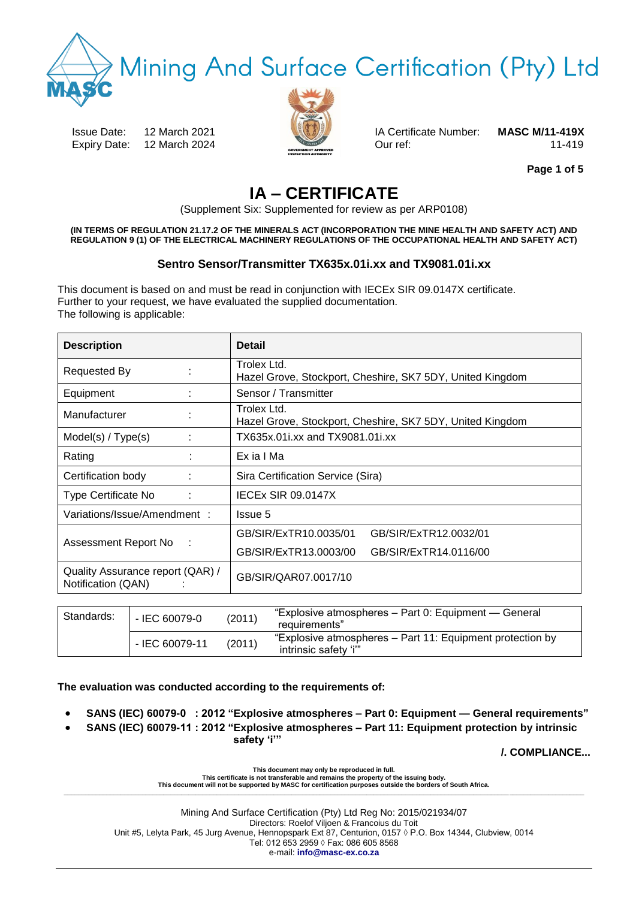**Iining And Surface Certification (Pty) Ltd** 

Issue Date: 12 March 2021 IA Certificate Number: **MASC M/11-419X** Expiry Date: 12 March 2024 **Our ref:** 0.11-419



**Page 1 of 5**

# **IA – CERTIFICATE**

(Supplement Six: Supplemented for review as per ARP0108)

**(IN TERMS OF REGULATION 21.17.2 OF THE MINERALS ACT (INCORPORATION THE MINE HEALTH AND SAFETY ACT) AND REGULATION 9 (1) OF THE ELECTRICAL MACHINERY REGULATIONS OF THE OCCUPATIONAL HEALTH AND SAFETY ACT)**

# **Sentro Sensor/Transmitter TX635x.01i.xx and TX9081.01i.xx**

This document is based on and must be read in conjunction with IECEx SIR 09.0147X certificate. Further to your request, we have evaluated the supplied documentation. The following is applicable:

| <b>Description</b>                                     | <b>Detail</b>                                                            |
|--------------------------------------------------------|--------------------------------------------------------------------------|
| <b>Requested By</b>                                    | Trolex Ltd.<br>Hazel Grove, Stockport, Cheshire, SK7 5DY, United Kingdom |
| Equipment                                              | Sensor / Transmitter                                                     |
| Manufacturer                                           | Trolex Ltd.<br>Hazel Grove, Stockport, Cheshire, SK7 5DY, United Kingdom |
| Model(s) / Type(s)                                     | TX635x.01i.xx and TX9081.01i.xx                                          |
| Rating                                                 | Ex ia I Ma                                                               |
| Certification body                                     | Sira Certification Service (Sira)                                        |
| Type Certificate No                                    | <b>IECEX SIR 09.0147X</b>                                                |
| Variations/Issue/Amendment:                            | Issue 5                                                                  |
|                                                        | GB/SIR/ExTR10.0035/01<br>GB/SIR/ExTR12.0032/01                           |
| Assessment Report No<br>÷                              | GB/SIR/ExTR13.0003/00<br>GB/SIR/ExTR14.0116/00                           |
| Quality Assurance report (QAR) /<br>Notification (QAN) | GB/SIR/QAR07.0017/10                                                     |
|                                                        |                                                                          |

| Standards: | - IEC 60079-0<br>(2011) |        | "Explosive atmospheres – Part 0: Equipment — General<br>requirements"              |
|------------|-------------------------|--------|------------------------------------------------------------------------------------|
|            | - IEC 60079-11          | (2011) | "Explosive atmospheres - Part 11: Equipment protection by<br>intrinsic safety 'i'" |

**The evaluation was conducted according to the requirements of:** 

- **SANS (IEC) 60079-0 : 2012 "Explosive atmospheres – Part 0: Equipment — General requirements"**
- **SANS (IEC) 60079-11 : 2012 "Explosive atmospheres – Part 11: Equipment protection by intrinsic safety 'i'"**

**/. COMPLIANCE...**

**This certificate is not transferable and remains the property of the issuing body. This document will not be supported by MASC for certification purposes outside the borders of South Africa. \_\_\_\_\_\_\_\_\_\_\_\_\_\_\_\_\_\_\_\_\_\_\_\_\_\_\_\_\_\_\_\_\_\_\_\_\_\_\_\_\_\_\_\_\_\_\_\_\_\_\_\_\_\_\_\_\_\_\_\_\_\_\_\_\_\_\_\_\_\_\_\_\_\_\_\_\_\_\_\_\_\_\_\_\_\_\_\_\_\_\_\_\_\_\_\_\_\_\_\_\_\_\_\_\_\_\_\_\_\_\_\_\_\_\_\_\_\_\_\_\_\_\_\_\_\_\_\_\_\_\_\_\_\_\_\_\_\_\_\_\_\_\_\_\_\_**

**This document may only be reproduced in full.**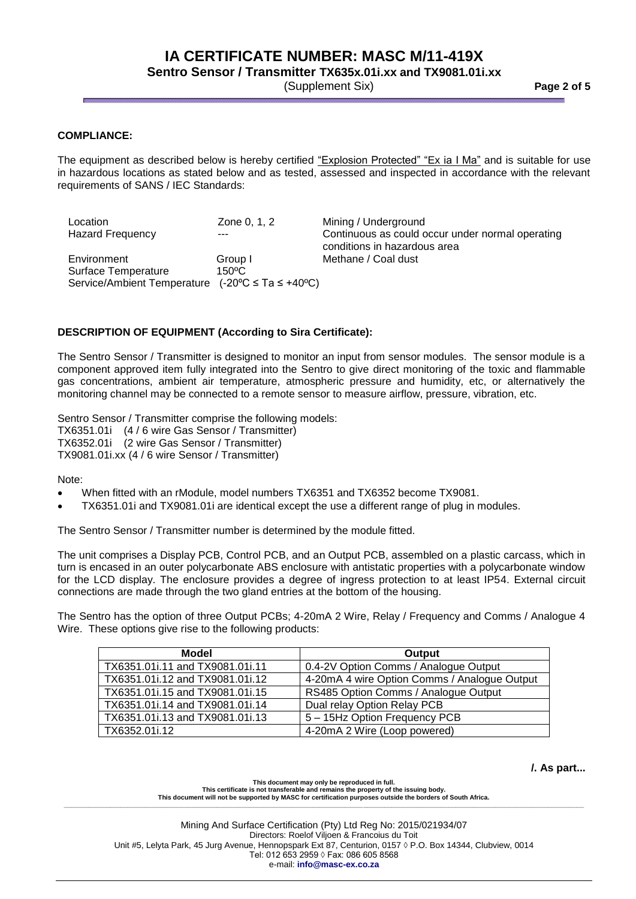# **IA CERTIFICATE NUMBER: MASC M/11-419X**

**Sentro Sensor / Transmitter TX635x.01i.xx and TX9081.01i.xx**

(Supplement Six) **Page 2 of 5**

### **COMPLIANCE:**

The equipment as described below is hereby certified "Explosion Protected" "Ex ia I Ma" and is suitable for use in hazardous locations as stated below and as tested, assessed and inspected in accordance with the relevant requirements of SANS / IEC Standards:

| Location<br><b>Hazard Frequency</b>                                                                          | Zone 0, 1, 2<br>---        | Mining / Underground<br>Continuous as could occur under normal operating<br>conditions in hazardous area |
|--------------------------------------------------------------------------------------------------------------|----------------------------|----------------------------------------------------------------------------------------------------------|
| Environment<br>Surface Temperature<br>Service/Ambient Temperature $(-20^{\circ}C \leq Ta \leq +40^{\circ}C)$ | Group I<br>$150^{\circ}$ C | Methane / Coal dust                                                                                      |

#### **DESCRIPTION OF EQUIPMENT (According to Sira Certificate):**

The Sentro Sensor / Transmitter is designed to monitor an input from sensor modules. The sensor module is a component approved item fully integrated into the Sentro to give direct monitoring of the toxic and flammable gas concentrations, ambient air temperature, atmospheric pressure and humidity, etc, or alternatively the monitoring channel may be connected to a remote sensor to measure airflow, pressure, vibration, etc.

Sentro Sensor / Transmitter comprise the following models:

TX6351.01i (4 / 6 wire Gas Sensor / Transmitter)

TX6352.01i (2 wire Gas Sensor / Transmitter)

TX9081.01i.xx (4 / 6 wire Sensor / Transmitter)

Note:

- When fitted with an rModule, model numbers TX6351 and TX6352 become TX9081.
- TX6351.01i and TX9081.01i are identical except the use a different range of plug in modules.

The Sentro Sensor / Transmitter number is determined by the module fitted.

The unit comprises a Display PCB, Control PCB, and an Output PCB, assembled on a plastic carcass, which in turn is encased in an outer polycarbonate ABS enclosure with antistatic properties with a polycarbonate window for the LCD display. The enclosure provides a degree of ingress protection to at least IP54. External circuit connections are made through the two gland entries at the bottom of the housing.

The Sentro has the option of three Output PCBs; 4-20mA 2 Wire, Relay / Frequency and Comms / Analogue 4 Wire. These options give rise to the following products:

| Model                           | Output                                       |  |  |  |
|---------------------------------|----------------------------------------------|--|--|--|
| TX6351.01i.11 and TX9081.01i.11 | 0.4-2V Option Comms / Analogue Output        |  |  |  |
| TX6351.01i.12 and TX9081.01i.12 | 4-20mA 4 wire Option Comms / Analogue Output |  |  |  |
| TX6351.01i.15 and TX9081.01i.15 | RS485 Option Comms / Analogue Output         |  |  |  |
| TX6351.01i.14 and TX9081.01i.14 | Dual relay Option Relay PCB                  |  |  |  |
| TX6351.01i.13 and TX9081.01i.13 | 5 - 15Hz Option Frequency PCB                |  |  |  |
| TX6352.01i.12                   | 4-20mA 2 Wire (Loop powered)                 |  |  |  |

**/. As part...**

**This document may only be reproduced in full. This certificate is not transferable and remains the property of the issuing body. This document will not be supported by MASC for certification purposes outside the borders of South Africa. \_\_\_\_\_\_\_\_\_\_\_\_\_\_\_\_\_\_\_\_\_\_\_\_\_\_\_\_\_\_\_\_\_\_\_\_\_\_\_\_\_\_\_\_\_\_\_\_\_\_\_\_\_\_\_\_\_\_\_\_\_\_\_\_\_\_\_\_\_\_\_\_\_\_\_\_\_\_\_\_\_\_\_\_\_\_\_\_\_\_\_\_\_\_\_\_\_\_\_\_\_\_\_\_\_\_\_\_\_\_\_\_\_\_\_\_\_\_\_\_\_\_\_\_\_\_\_\_\_\_\_\_\_\_\_\_\_\_\_\_\_\_\_\_\_\_**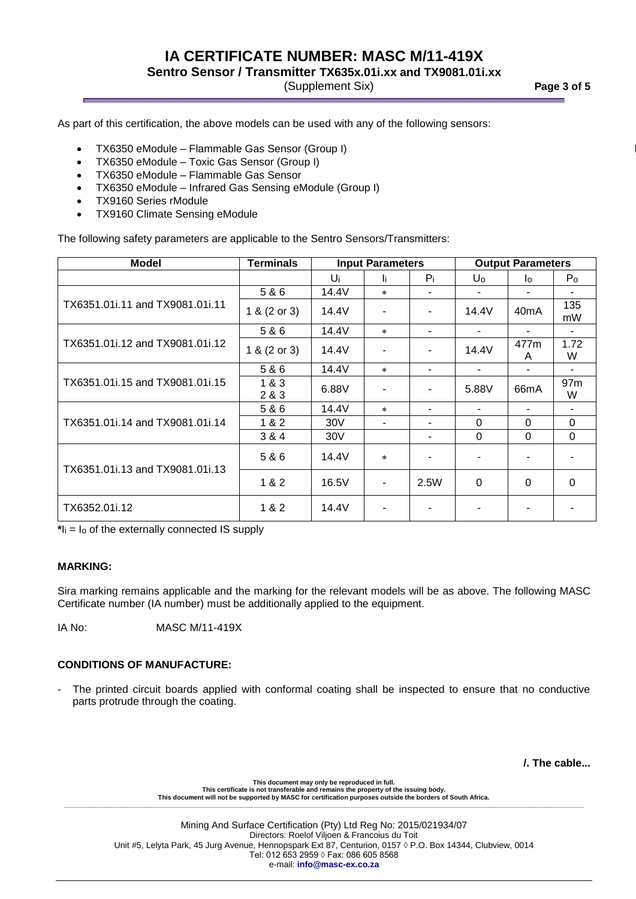# **IA CERTIFICATE NUMBER: MASC M/11-419X**

**Sentro Sensor / Transmitter TX635x.01i.xx and TX9081.01i.xx**

(Supplement Six) **Page 3 of 5**

As part of this certification, the above models can be used with any of the following sensors:

- TX6350 eModule Flammable Gas Sensor (Group I)
- TX6350 eModule Toxic Gas Sensor (Group I)
- $\bullet$  TX6350 eModule Flammable Gas Sensor
- TX6350 eModule Infrared Gas Sensing eModule (Group I)
- TX9160 Series rModule
- TX9160 Climate Sensing eModule

The following safety parameters are applicable to the Sentro Sensors/Transmitters:

| <b>Model</b>                    | <b>Terminals</b> | <b>Input Parameters</b> |         | <b>Output Parameters</b> |                |                   |                      |
|---------------------------------|------------------|-------------------------|---------|--------------------------|----------------|-------------------|----------------------|
|                                 |                  | Ui                      | li      | $P_i$                    | Uo             | lo                | P <sub>o</sub>       |
| TX6351.01i.11 and TX9081.01i.11 | 5 & 6            | 14.4V                   | $\star$ |                          | ٠              | ٠                 |                      |
|                                 | 1 & (2 or 3)     | 14.4V                   |         |                          | 14.4V          | 40 <sub>m</sub> A | 135<br>mW            |
| TX6351.01i.12 and TX9081.01i.12 | 5 & 6            | 14.4V                   | $\star$ | ٠                        | $\blacksquare$ |                   |                      |
|                                 | 1 & (2 or 3)     | 14.4V                   |         |                          | 14.4V          | 477m<br>A         | 1.72<br>W            |
| TX6351.01i.15 and TX9081.01i.15 | 5&6              | 14.4V                   | $\star$ | $\overline{\phantom{a}}$ | ٠              | ٠                 |                      |
|                                 | 1&3<br>2 & 3     | 6.88V                   |         |                          | 5.88V          | 66 <sub>m</sub> A | 97 <sub>m</sub><br>W |
| TX6351.01i.14 and TX9081.01i.14 | 5&6              | 14.4V                   | $\star$ |                          | ۰.             |                   |                      |
|                                 | 1 & 2            | 30 <sub>V</sub>         |         |                          | 0              | 0                 | $\Omega$             |
|                                 | 3 & 4            | 30 <sub>V</sub>         |         |                          | $\mathbf 0$    | 0                 | $\Omega$             |
| TX6351.01i.13 and TX9081.01i.13 | 5&6              | 14.4V                   | $\star$ |                          | ٠              |                   |                      |
|                                 | 1 & 2            | 16.5V                   | -       | 2.5W                     | $\Omega$       | $\Omega$          | $\Omega$             |
| TX6352.01i.12                   | 1 & 2            | 14.4V                   |         |                          |                |                   |                      |

**\***Ii = Io of the externally connected IS supply

### **MARKING:**

Sira marking remains applicable and the marking for the relevant models will be as above. The following MASC Certificate number (IA number) must be additionally applied to the equipment.

IA No: MASC M/11-419X

### **CONDITIONS OF MANUFACTURE:**

The printed circuit boards applied with conformal coating shall be inspected to ensure that no conductive parts protrude through the coating.

**/. The cable...**

**This document may only be reproduced in full. This certificate is not transferable and remains the property of the issuing body. This document will not be supported by MASC for certification purposes outside the borders of South Africa. \_\_\_\_\_\_\_\_\_\_\_\_\_\_\_\_\_\_\_\_\_\_\_\_\_\_\_\_\_\_\_\_\_\_\_\_\_\_\_\_\_\_\_\_\_\_\_\_\_\_\_\_\_\_\_\_\_\_\_\_\_\_\_\_\_\_\_\_\_\_\_\_\_\_\_\_\_\_\_\_\_\_\_\_\_\_\_\_\_\_\_\_\_\_\_\_\_\_\_\_\_\_\_\_\_\_\_\_\_\_\_\_\_\_\_\_\_\_\_\_\_\_\_\_\_\_\_\_\_\_\_\_\_\_\_\_\_\_\_\_\_\_\_\_\_\_**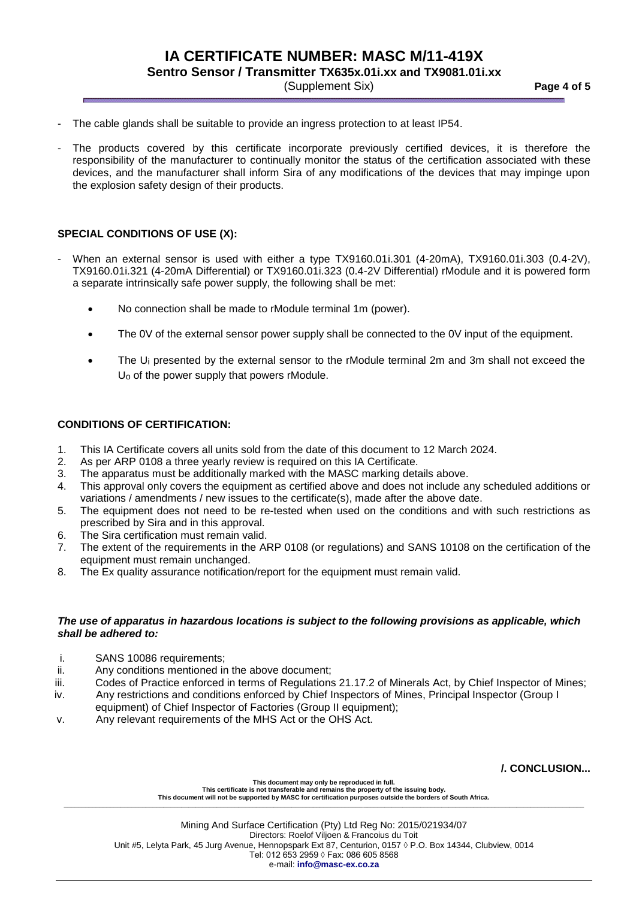**Sentro Sensor / Transmitter TX635x.01i.xx and TX9081.01i.xx**

(Supplement Six) **Page 4 of 5**

- The cable glands shall be suitable to provide an ingress protection to at least IP54.
- The products covered by this certificate incorporate previously certified devices, it is therefore the responsibility of the manufacturer to continually monitor the status of the certification associated with these devices, and the manufacturer shall inform Sira of any modifications of the devices that may impinge upon the explosion safety design of their products.

#### **SPECIAL CONDITIONS OF USE (X):**

- When an external sensor is used with either a type TX9160.01i.301 (4-20mA), TX9160.01i.303 (0.4-2V), TX9160.01i.321 (4-20mA Differential) or TX9160.01i.323 (0.4-2V Differential) rModule and it is powered form a separate intrinsically safe power supply, the following shall be met:
	- No connection shall be made to rModule terminal 1m (power).
	- The 0V of the external sensor power supply shall be connected to the 0V input of the equipment.
	- The U<sub>i</sub> presented by the external sensor to the rModule terminal 2m and 3m shall not exceed the Uo of the power supply that powers rModule.

#### **CONDITIONS OF CERTIFICATION:**

- 1. This IA Certificate covers all units sold from the date of this document to 12 March 2024.
- 2. As per ARP 0108 a three yearly review is required on this IA Certificate.
- 3. The apparatus must be additionally marked with the MASC marking details above.
- 4. This approval only covers the equipment as certified above and does not include any scheduled additions or variations / amendments / new issues to the certificate(s), made after the above date.
- 5. The equipment does not need to be re-tested when used on the conditions and with such restrictions as prescribed by Sira and in this approval.
- 6. The Sira certification must remain valid.
- 7. The extent of the requirements in the ARP 0108 (or regulations) and SANS 10108 on the certification of the equipment must remain unchanged.
- 8. The Ex quality assurance notification/report for the equipment must remain valid.

#### *The use of apparatus in hazardous locations is subject to the following provisions as applicable, which shall be adhered to:*

- i. SANS 10086 requirements;
- ii. Any conditions mentioned in the above document;
- iii. Codes of Practice enforced in terms of Regulations 21.17.2 of Minerals Act, by Chief Inspector of Mines;
- iv. Any restrictions and conditions enforced by Chief Inspectors of Mines, Principal Inspector (Group I equipment) of Chief Inspector of Factories (Group II equipment);
- v. Any relevant requirements of the MHS Act or the OHS Act.

**/. CONCLUSION...**

**This document may only be reproduced in full. This certificate is not transferable and remains the property of the issuing body. This document will not be supported by MASC for certification purposes outside the borders of South Africa. \_\_\_\_\_\_\_\_\_\_\_\_\_\_\_\_\_\_\_\_\_\_\_\_\_\_\_\_\_\_\_\_\_\_\_\_\_\_\_\_\_\_\_\_\_\_\_\_\_\_\_\_\_\_\_\_\_\_\_\_\_\_\_\_\_\_\_\_\_\_\_\_\_\_\_\_\_\_\_\_\_\_\_\_\_\_\_\_\_\_\_\_\_\_\_\_\_\_\_\_\_\_\_\_\_\_\_\_\_\_\_\_\_\_\_\_\_\_\_\_\_\_\_\_\_\_\_\_\_\_\_\_\_\_\_\_\_\_\_\_\_\_\_\_\_\_**